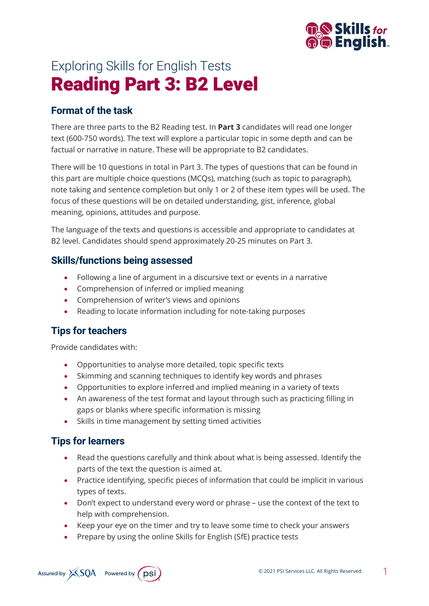

# Exploring Skills for English Tests Reading Part 3: B2 Level

## **Format of the task**

There are three parts to the B2 Reading test. In **Part 3** candidates will read one longer text (600-750 words). The text will explore a particular topic in some depth and can be factual or narrative in nature. These will be appropriate to B2 candidates.

There will be 10 questions in total in Part 3. The types of questions that can be found in this part are multiple choice questions (MCQs), matching (such as topic to paragraph), note taking and sentence completion but only 1 or 2 of these item types will be used. The focus of these questions will be on detailed understanding, gist, inference, global meaning, opinions, attitudes and purpose.

The language of the texts and questions is accessible and appropriate to candidates at B2 level. Candidates should spend approximately 20-25 minutes on Part 3.

#### **Skills/functions being assessed**

- Following a line of argument in a discursive text or events in a narrative
- Comprehension of inferred or implied meaning
- Comprehension of writer's views and opinions
- Reading to locate information including for note-taking purposes

#### **Tips for teachers**

Provide candidates with:

- Opportunities to analyse more detailed, topic specific texts
- Skimming and scanning techniques to identify key words and phrases
- Opportunities to explore inferred and implied meaning in a variety of texts
- An awareness of the test format and layout through such as practicing filling in gaps or blanks where specific information is missing
- Skills in time management by setting timed activities

#### **Tips for learners**

- Read the questions carefully and think about what is being assessed. Identify the parts of the text the question is aimed at.
- Practice identifying, specific pieces of information that could be implicit in various types of texts.
- Don't expect to understand every word or phrase use the context of the text to help with comprehension.
- Keep your eye on the timer and try to leave some time to check your answers
- Prepare by using the online Skills for English (SfE) practice tests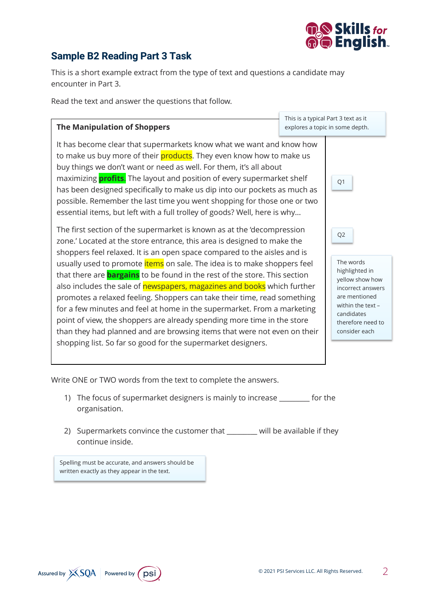

## **Sample B2 Reading Part 3 Task**

This is a short example extract from the type of text and questions a candidate may encounter in Part 3.

Read the text and answer the questions that follow.

#### **The Manipulation of Shoppers**

This is a typical Part 3 text as it explores a topic in some depth.

Q1

Q2

It has become clear that supermarkets know what we want and know how to make us buy more of their **products**. They even know how to make us buy things we don't want or need as well. For them, it's all about maximizing **profits**. The layout and position of every supermarket shelf has been designed specifically to make us dip into our pockets as much as possible. Remember the last time you went shopping for those one or two essential items, but left with a full trolley of goods? Well, here is why…

The first section of the supermarket is known as at the 'decompression zone.' Located at the store entrance, this area is designed to make the shoppers feel relaxed. It is an open space compared to the aisles and is usually used to promote *items* on sale. The idea is to make shoppers feel that there are **bargains** to be found in the rest of the store. This section also includes the sale of newspapers, magazines and books which further promotes a relaxed feeling. Shoppers can take their time, read something for a few minutes and feel at home in the supermarket. From a marketing point of view, the shoppers are already spending more time in the store than they had planned and are browsing items that were not even on their shopping list. So far so good for the supermarket designers.

The words highlighted in yellow show how incorrect answers are mentioned within the text – candidates therefore need to consider each

Write ONE or TWO words from the text to complete the answers.

- 1) The focus of supermarket designers is mainly to increase for the organisation.
- 2) Supermarkets convince the customer that \_\_\_\_\_\_\_\_ will be available if they continue inside.

Spelling must be accurate, and answers should be written exactly as they appear in the text.

Assured by XSQA Powered by psi